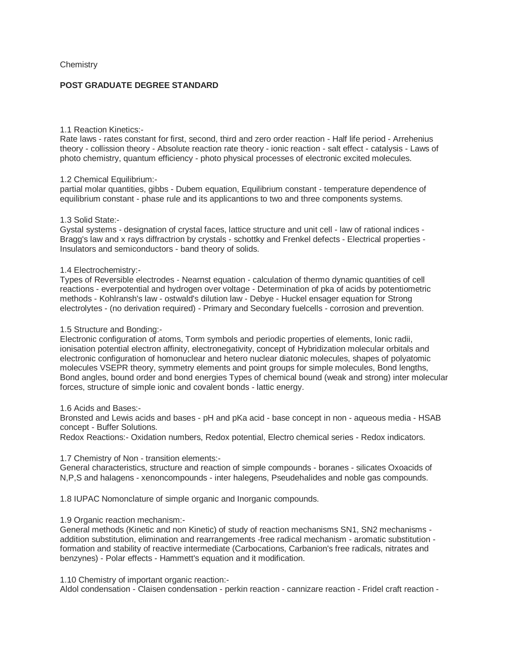# **Chemistry**

# **POST GRADUATE DEGREE STANDARD**

## 1.1 Reaction Kinetics:-

Rate laws - rates constant for first, second, third and zero order reaction - Half life period - Arrehenius theory - collission theory - Absolute reaction rate theory - ionic reaction - salt effect - catalysis - Laws of photo chemistry, quantum efficiency - photo physical processes of electronic excited molecules.

## 1.2 Chemical Equilibrium:-

partial molar quantities, gibbs - Dubem equation, Equilibrium constant - temperature dependence of equilibrium constant - phase rule and its applicantions to two and three components systems.

## 1.3 Solid State:-

Gystal systems - designation of crystal faces, lattice structure and unit cell - law of rational indices - Bragg's law and x rays diffractrion by crystals - schottky and Frenkel defects - Electrical properties - Insulators and semiconductors - band theory of solids.

## 1.4 Electrochemistry:-

Types of Reversible electrodes - Nearnst equation - calculation of thermo dynamic quantities of cell reactions - everpotential and hydrogen over voltage - Determination of pka of acids by potentiometric methods - Kohlransh's law - ostwald's dilution law - Debye - Huckel ensager equation for Strong electrolytes - (no derivation required) - Primary and Secondary fuelcells - corrosion and prevention.

## 1.5 Structure and Bonding:-

Electronic configuration of atoms, Torm symbols and periodic properties of elements, Ionic radii, ionisation potential electron affinity, electronegativity, concept of Hybridization molecular orbitals and electronic configuration of homonuclear and hetero nuclear diatonic molecules, shapes of polyatomic molecules VSEPR theory, symmetry elements and point groups for simple molecules, Bond lengths, Bond angles, bound order and bond energies Types of chemical bound (weak and strong) inter molecular forces, structure of simple ionic and covalent bonds - lattic energy.

## 1.6 Acids and Bases:-

Bronsted and Lewis acids and bases - pH and pKa acid - base concept in non - aqueous media - HSAB concept - Buffer Solutions.

Redox Reactions:- Oxidation numbers, Redox potential, Electro chemical series - Redox indicators.

# 1.7 Chemistry of Non - transition elements:-

General characteristics, structure and reaction of simple compounds - boranes - silicates Oxoacids of N,P,S and halagens - xenoncompounds - inter halegens, Pseudehalides and noble gas compounds.

1.8 IUPAC Nomonclature of simple organic and Inorganic compounds.

# 1.9 Organic reaction mechanism:-

General methods (Kinetic and non Kinetic) of study of reaction mechanisms SN1, SN2 mechanisms addition substitution, elimination and rearrangements -free radical mechanism - aromatic substitution formation and stability of reactive intermediate (Carbocations, Carbanion's free radicals, nitrates and benzynes) - Polar effects - Hammett's equation and it modification.

1.10 Chemistry of important organic reaction:-

Aldol condensation - Claisen condensation - perkin reaction - cannizare reaction - Fridel craft reaction -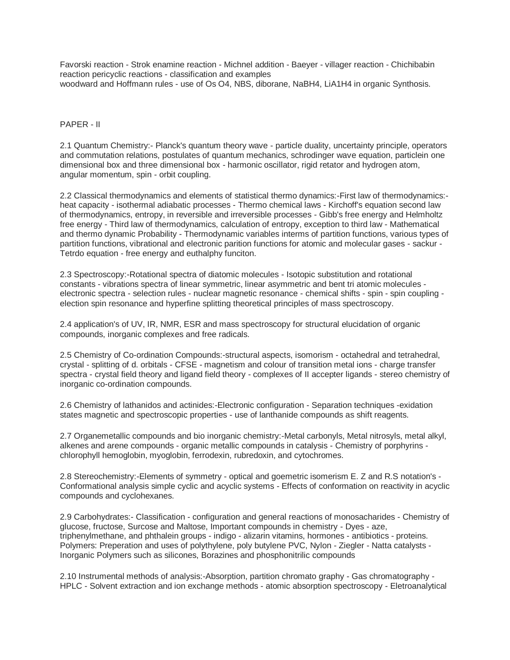Favorski reaction - Strok enamine reaction - Michnel addition - Baeyer - villager reaction - Chichibabin reaction pericyclic reactions - classification and examples woodward and Hoffmann rules - use of Os O4, NBS, diborane, NaBH4, LiA1H4 in organic Synthosis.

# PAPER - II

2.1 Quantum Chemistry:- Planck's quantum theory wave - particle duality, uncertainty principle, operators and commutation relations, postulates of quantum mechanics, schrodinger wave equation, particlein one dimensional box and three dimensional box - harmonic oscillator, rigid retator and hydrogen atom, angular momentum, spin - orbit coupling.

2.2 Classical thermodynamics and elements of statistical thermo dynamics:-First law of thermodynamics: heat capacity - isothermal adiabatic processes - Thermo chemical laws - Kirchoff's equation second law of thermodynamics, entropy, in reversible and irreversible processes - Gibb's free energy and Helmholtz free energy - Third law of thermodynamics, calculation of entropy, exception to third law - Mathematical and thermo dynamic Probability - Thermodynamic variables interms of partition functions, various types of partition functions, vibrational and electronic parition functions for atomic and molecular gases - sackur - Tetrdo equation - free energy and euthalphy funciton.

2.3 Spectroscopy:-Rotational spectra of diatomic molecules - Isotopic substitution and rotational constants - vibrations spectra of linear symmetric, linear asymmetric and bent tri atomic molecules electronic spectra - selection rules - nuclear magnetic resonance - chemical shifts - spin - spin coupling election spin resonance and hyperfine splitting theoretical principles of mass spectroscopy.

2.4 application's of UV, IR, NMR, ESR and mass spectroscopy for structural elucidation of organic compounds, inorganic complexes and free radicals.

2.5 Chemistry of Co-ordination Compounds:-structural aspects, isomorism - octahedral and tetrahedral, crystal - splitting of d. orbitals - CFSE - magnetism and colour of transition metal ions - charge transfer spectra - crystal field theory and ligand field theory - complexes of II accepter ligands - stereo chemistry of inorganic co-ordination compounds.

2.6 Chemistry of lathanidos and actinides:-Electronic configuration - Separation techniques -exidation states magnetic and spectroscopic properties - use of lanthanide compounds as shift reagents.

2.7 Organemetallic compounds and bio inorganic chemistry:-Metal carbonyls, Metal nitrosyls, metal alkyl, alkenes and arene compounds - organic metallic compounds in catalysis - Chemistry of porphyrins chlorophyll hemoglobin, myoglobin, ferrodexin, rubredoxin, and cytochromes.

2.8 Stereochemistry:-Elements of symmetry - optical and goemetric isomerism E. Z and R.S notation's - Conformational analysis simple cyclic and acyclic systems - Effects of conformation on reactivity in acyclic compounds and cyclohexanes.

2.9 Carbohydrates:- Classification - configuration and general reactions of monosacharides - Chemistry of glucose, fructose, Surcose and Maltose, Important compounds in chemistry - Dyes - aze, triphenylmethane, and phthalein groups - indigo - alizarin vitamins, hormones - antibiotics - proteins. Polymers: Preperation and uses of polythylene, poly butylene PVC, Nylon - Ziegler - Natta catalysts - Inorganic Polymers such as silicones, Borazines and phosphonitrilic compounds

2.10 Instrumental methods of analysis:-Absorption, partition chromato graphy - Gas chromatography - HPLC - Solvent extraction and ion exchange methods - atomic absorption spectroscopy - Eletroanalytical